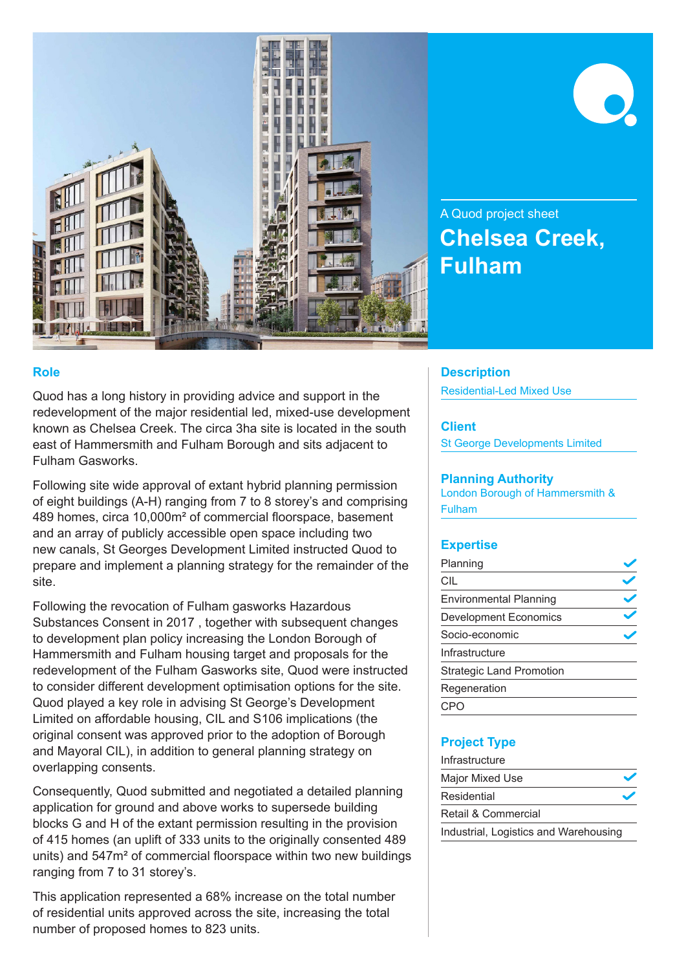

# A Quod project sheet **Chelsea Creek, Fulham**

## **Role**

Quod has a long history in providing advice and support in the redevelopment of the major residential led, mixed-use development known as Chelsea Creek. The circa 3ha site is located in the south east of Hammersmith and Fulham Borough and sits adjacent to Fulham Gasworks.

Following site wide approval of extant hybrid planning permission of eight buildings (A-H) ranging from 7 to 8 storey's and comprising 489 homes, circa 10,000m² of commercial floorspace, basement and an array of publicly accessible open space including two new canals, St Georges Development Limited instructed Quod to prepare and implement a planning strategy for the remainder of the site.

Following the revocation of Fulham gasworks Hazardous Substances Consent in 2017 , together with subsequent changes to development plan policy increasing the London Borough of Hammersmith and Fulham housing target and proposals for the redevelopment of the Fulham Gasworks site, Quod were instructed to consider different development optimisation options for the site. Quod played a key role in advising St George's Development Limited on affordable housing, CIL and S106 implications (the original consent was approved prior to the adoption of Borough and Mayoral CIL), in addition to general planning strategy on overlapping consents.

Consequently, Quod submitted and negotiated a detailed planning application for ground and above works to supersede building blocks G and H of the extant permission resulting in the provision of 415 homes (an uplift of 333 units to the originally consented 489 units) and 547m² of commercial floorspace within two new buildings ranging from 7 to 31 storey's.

This application represented a 68% increase on the total number of residential units approved across the site, increasing the total number of proposed homes to 823 units.

## **Description**

Residential-Led Mixed Use

#### **Client**

St George Developments Limited

## **Planning Authority**

London Borough of Hammersmith & Fulham

# **Expertise**

| Planning                        |  |
|---------------------------------|--|
| CIL                             |  |
| <b>Environmental Planning</b>   |  |
| <b>Development Economics</b>    |  |
| Socio-economic                  |  |
| Infrastructure                  |  |
| <b>Strategic Land Promotion</b> |  |
| Regeneration                    |  |
|                                 |  |

# **Project Type**

| Infrastructure                        |  |
|---------------------------------------|--|
| Major Mixed Use                       |  |
| Residential                           |  |
| Retail & Commercial                   |  |
| Industrial, Logistics and Warehousing |  |